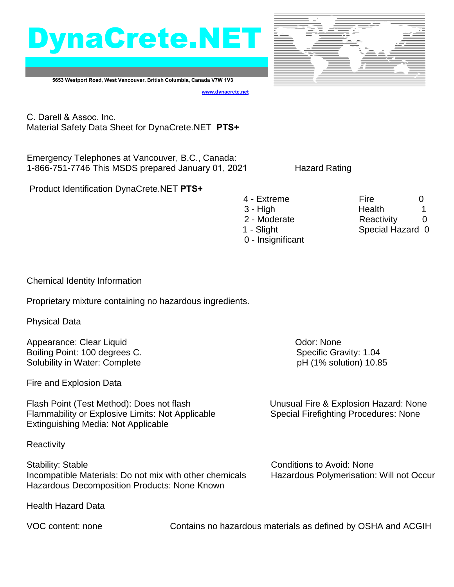



**5653 Westport Road, West Vancouver, British Columbia, Canada V7W 1V3**

**[www.dynacrete.](http://www.dynacrete.com/)net**

C. Darell & Assoc. Inc. Material Safety Data Sheet for DynaCrete.NET **PTS+**

Emergency Telephones at Vancouver, B.C., Canada: 1-866-751-7746 This MSDS prepared January 01, 2021 Hazard Rating

Product Identification DynaCrete.NET **PTS+**

4 - Extreme Fire 6 3 - High **Health** 1 2 - Moderate **Reactivity** 0 1 - Slight Special Hazard 0 0 - Insignificant

Chemical Identity Information

Proprietary mixture containing no hazardous ingredients.

Physical Data

Appearance: Clear Liquid **Contract Clear Liquid** Contract Clear Appearance: Odor: None Boiling Point: 100 degrees C. Specific Gravity: 1.04 Solubility in Water: Complete pH (1% solution) 10.85

Fire and Explosion Data

Flash Point (Test Method): Does not flash Unusual Fire & Explosion Hazard: None Flammability or Explosive Limits: Not Applicable Special Firefighting Procedures: None Extinguishing Media: Not Applicable

**Reactivity** 

Stability: Stable Conditions to Avoid: None Incompatible Materials: Do not mix with other chemicals Hazardous Polymerisation: Will not Occur Hazardous Decomposition Products: None Known

Health Hazard Data

VOC content: none Contains no hazardous materials as defined by OSHA and ACGIH